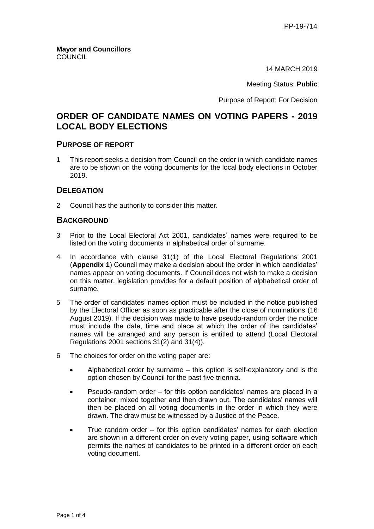14 MARCH 2019

Meeting Status: **Public**

Purpose of Report: For Decision

# **ORDER OF CANDIDATE NAMES ON VOTING PAPERS - 2019 LOCAL BODY ELECTIONS**

#### **PURPOSE OF REPORT**

1 This report seeks a decision from Council on the order in which candidate names are to be shown on the voting documents for the local body elections in October 2019.

### **DELEGATION**

2 Council has the authority to consider this matter.

#### **BACKGROUND**

- 3 Prior to the Local Electoral Act 2001, candidates' names were required to be listed on the voting documents in alphabetical order of surname.
- 4 In accordance with clause 31(1) of the Local Electoral Regulations 2001 (**Appendix 1**) Council may make a decision about the order in which candidates' names appear on voting documents. If Council does not wish to make a decision on this matter, legislation provides for a default position of alphabetical order of surname.
- 5 The order of candidates' names option must be included in the notice published by the Electoral Officer as soon as practicable after the close of nominations (16 August 2019). If the decision was made to have pseudo-random order the notice must include the date, time and place at which the order of the candidates' names will be arranged and any person is entitled to attend (Local Electoral Regulations 2001 sections 31(2) and 31(4)).
- 6 The choices for order on the voting paper are:
	- Alphabetical order by surname this option is self-explanatory and is the option chosen by Council for the past five triennia.
	- Pseudo-random order for this option candidates' names are placed in a container, mixed together and then drawn out. The candidates' names will then be placed on all voting documents in the order in which they were drawn. The draw must be witnessed by a Justice of the Peace.
	- True random order for this option candidates' names for each election are shown in a different order on every voting paper, using software which permits the names of candidates to be printed in a different order on each voting document.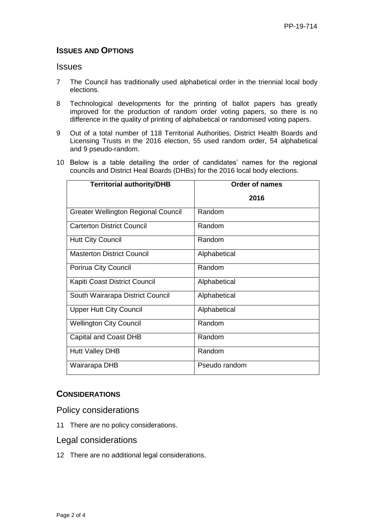## **ISSUES AND OPTIONS**

### **Issues**

- 7 The Council has traditionally used alphabetical order in the triennial local body elections.
- 8 Technological developments for the printing of ballot papers has greatly improved for the production of random order voting papers, so there is no difference in the quality of printing of alphabetical or randomised voting papers.
- 9 Out of a total number of 118 Territorial Authorities, District Health Boards and Licensing Trusts in the 2016 election, 55 used random order, 54 alphabetical and 9 pseudo-random.
- 10 Below is a table detailing the order of candidates' names for the regional councils and District Heal Boards (DHBs) for the 2016 local body elections.

| <b>Territorial authority/DHB</b>           | <b>Order of names</b> |
|--------------------------------------------|-----------------------|
|                                            | 2016                  |
| <b>Greater Wellington Regional Council</b> | Random                |
| <b>Carterton District Council</b>          | Random                |
| <b>Hutt City Council</b>                   | Random                |
| <b>Masterton District Council</b>          | Alphabetical          |
| Porirua City Council                       | Random                |
| Kapiti Coast District Council              | Alphabetical          |
| South Wairarapa District Council           | Alphabetical          |
| <b>Upper Hutt City Council</b>             | Alphabetical          |
| <b>Wellington City Council</b>             | Random                |
| Capital and Coast DHB                      | Random                |
| <b>Hutt Valley DHB</b>                     | Random                |
| Wairarapa DHB                              | Pseudo random         |

## **CONSIDERATIONS**

Policy considerations

11 There are no policy considerations.

## Legal considerations

12 There are no additional legal considerations.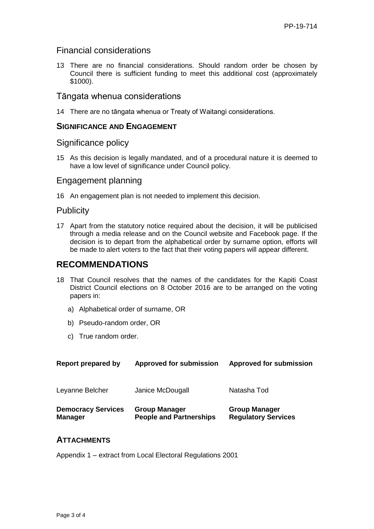## Financial considerations

13 There are no financial considerations. Should random order be chosen by Council there is sufficient funding to meet this additional cost (approximately \$1000).

## Tāngata whenua considerations

14 There are no tāngata whenua or Treaty of Waitangi considerations.

#### **SIGNIFICANCE AND ENGAGEMENT**

#### Significance policy

15 As this decision is legally mandated, and of a procedural nature it is deemed to have a low level of significance under Council policy.

#### Engagement planning

16 An engagement plan is not needed to implement this decision.

## **Publicity**

17 Apart from the statutory notice required about the decision, it will be publicised through a media release and on the Council website and Facebook page. If the decision is to depart from the alphabetical order by surname option, efforts will be made to alert voters to the fact that their voting papers will appear different.

## **RECOMMENDATIONS**

- 18 That Council resolves that the names of the candidates for the Kapiti Coast District Council elections on 8 October 2016 are to be arranged on the voting papers in:
	- a) Alphabetical order of surname, OR
	- b) Pseudo-random order, OR
	- c) True random order.

| Report prepared by                          | <b>Approved for submission</b>                         | <b>Approved for submission</b>                     |
|---------------------------------------------|--------------------------------------------------------|----------------------------------------------------|
| Leyanne Belcher                             | Janice McDougall                                       | Natasha Tod                                        |
| <b>Democracy Services</b><br><b>Manager</b> | <b>Group Manager</b><br><b>People and Partnerships</b> | <b>Group Manager</b><br><b>Regulatory Services</b> |

#### **ATTACHMENTS**

Appendix 1 – extract from Local Electoral Regulations 2001